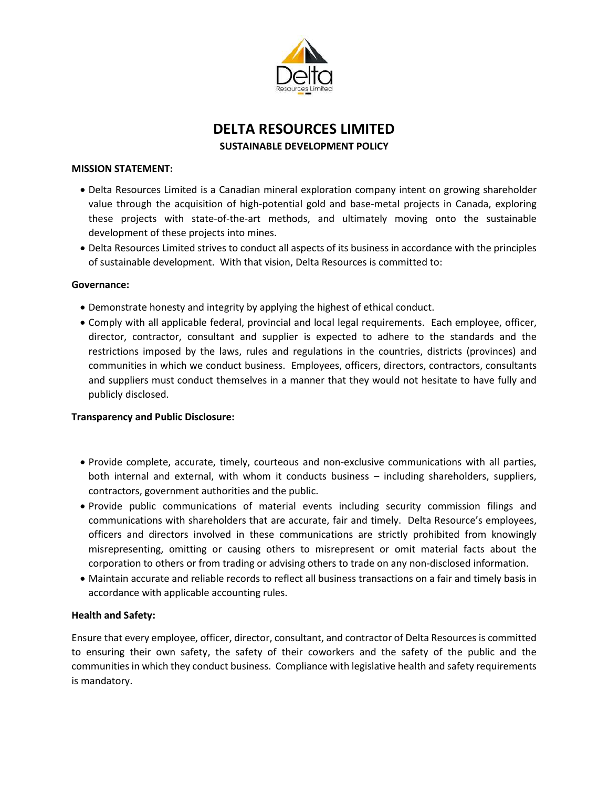

# DELTA RESOURCES LIMITED

SUSTAINABLE DEVELOPMENT POLICY

### MISSION STATEMENT:

- Delta Resources Limited is a Canadian mineral exploration company intent on growing shareholder value through the acquisition of high-potential gold and base-metal projects in Canada, exploring these projects with state-of-the-art methods, and ultimately moving onto the sustainable development of these projects into mines.
- Delta Resources Limited strives to conduct all aspects of its business in accordance with the principles of sustainable development. With that vision, Delta Resources is committed to:

### Governance:

- Demonstrate honesty and integrity by applying the highest of ethical conduct.
- Comply with all applicable federal, provincial and local legal requirements. Each employee, officer, director, contractor, consultant and supplier is expected to adhere to the standards and the restrictions imposed by the laws, rules and regulations in the countries, districts (provinces) and communities in which we conduct business. Employees, officers, directors, contractors, consultants and suppliers must conduct themselves in a manner that they would not hesitate to have fully and publicly disclosed.

### Transparency and Public Disclosure:

- Provide complete, accurate, timely, courteous and non-exclusive communications with all parties, both internal and external, with whom it conducts business – including shareholders, suppliers, contractors, government authorities and the public.
- Provide public communications of material events including security commission filings and communications with shareholders that are accurate, fair and timely. Delta Resource's employees, officers and directors involved in these communications are strictly prohibited from knowingly misrepresenting, omitting or causing others to misrepresent or omit material facts about the corporation to others or from trading or advising others to trade on any non-disclosed information.
- Maintain accurate and reliable records to reflect all business transactions on a fair and timely basis in accordance with applicable accounting rules.

### Health and Safety:

Ensure that every employee, officer, director, consultant, and contractor of Delta Resources is committed to ensuring their own safety, the safety of their coworkers and the safety of the public and the communities in which they conduct business. Compliance with legislative health and safety requirements is mandatory.